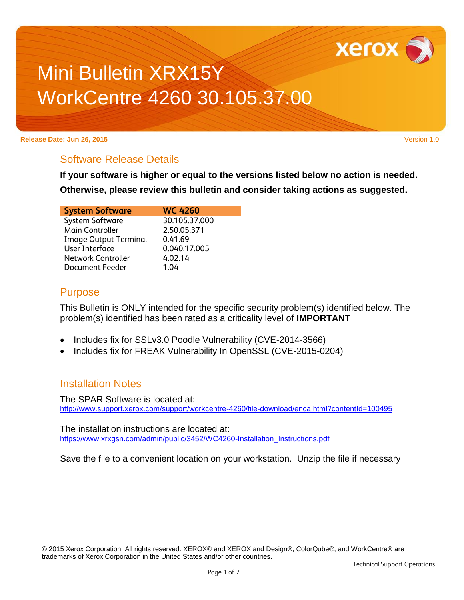

# Mini Bulletin XRX15Y WorkCentre 4260 30.105.37.00

#### **Release Date: Jun 26, 2015** Version 1.0

## Software Release Details

**If your software is higher or equal to the versions listed below no action is needed.**

**Otherwise, please review this bulletin and consider taking actions as suggested.** 

| <b>System Software</b>       | <b>WC 4260</b> |
|------------------------------|----------------|
| <b>System Software</b>       | 30.105.37.000  |
| Main Controller              | 2.50.05.371    |
| <b>Image Output Terminal</b> | 0.41.69        |
| User Interface               | 0.040.17.005   |
| <b>Network Controller</b>    | 4.02.14        |
| <b>Document Feeder</b>       | 1 በ4           |

#### Purpose

This Bulletin is ONLY intended for the specific security problem(s) identified below. The problem(s) identified has been rated as a criticality level of **IMPORTANT**

- Includes fix for SSLv3.0 Poodle Vulnerability (CVE-2014-3566)
- Includes fix for FREAK Vulnerability In OpenSSL (CVE-2015-0204)

### Installation Notes

The SPAR Software is located at: <http://www.support.xerox.com/support/workcentre-4260/file-download/enca.html?contentId=100495>

The installation instructions are located at: [https://www.xrxgsn.com/admin/public/3452/WC4260-Installation\\_Instructions.pdf](https://www.xrxgsn.com/admin/public/3452/WC4260-Installation_Instructions.pdf)

Save the file to a convenient location on your workstation. Unzip the file if necessary